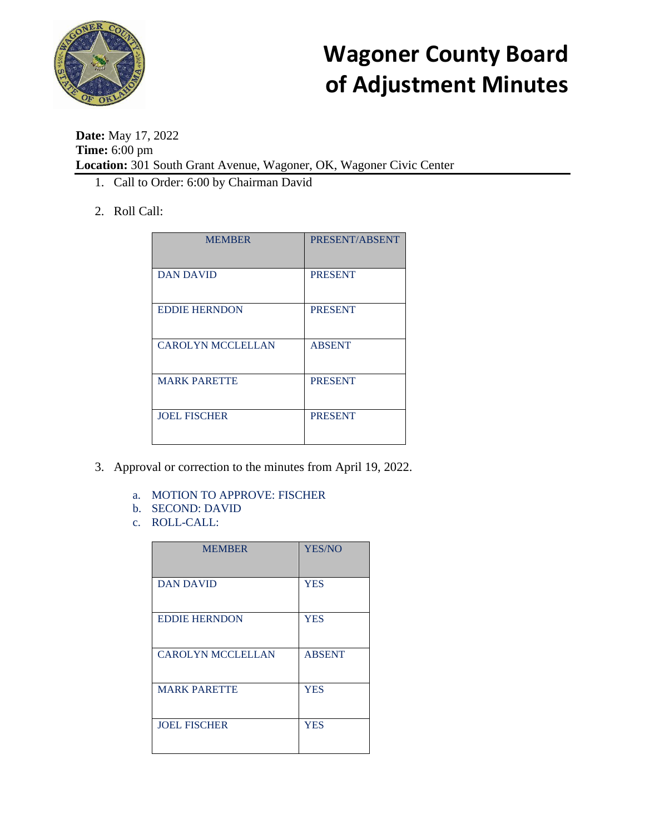

**Date:** May 17, 2022 **Time:** 6:00 pm **Location:** 301 South Grant Avenue, Wagoner, OK, Wagoner Civic Center

- 1. Call to Order: 6:00 by Chairman David
- 2. Roll Call:

| <b>MEMBER</b>            | PRESENT/ABSENT |
|--------------------------|----------------|
| <b>DAN DAVID</b>         | <b>PRESENT</b> |
| <b>EDDIE HERNDON</b>     | <b>PRESENT</b> |
| <b>CAROLYN MCCLELLAN</b> | <b>ABSENT</b>  |
| <b>MARK PARETTE</b>      | <b>PRESENT</b> |
| <b>JOEL FISCHER</b>      | <b>PRESENT</b> |

- 3. Approval or correction to the minutes from April 19, 2022.
	- a. MOTION TO APPROVE: FISCHER
	- b. SECOND: DAVID
	- c. ROLL-CALL:

| <b>MEMBER</b>            | <b>YES/NO</b> |
|--------------------------|---------------|
| <b>DAN DAVID</b>         | <b>YES</b>    |
| <b>EDDIE HERNDON</b>     | <b>YES</b>    |
| <b>CAROLYN MCCLELLAN</b> | <b>ABSENT</b> |
| <b>MARK PARETTE</b>      | <b>YES</b>    |
| <b>JOEL FISCHER</b>      | <b>YES</b>    |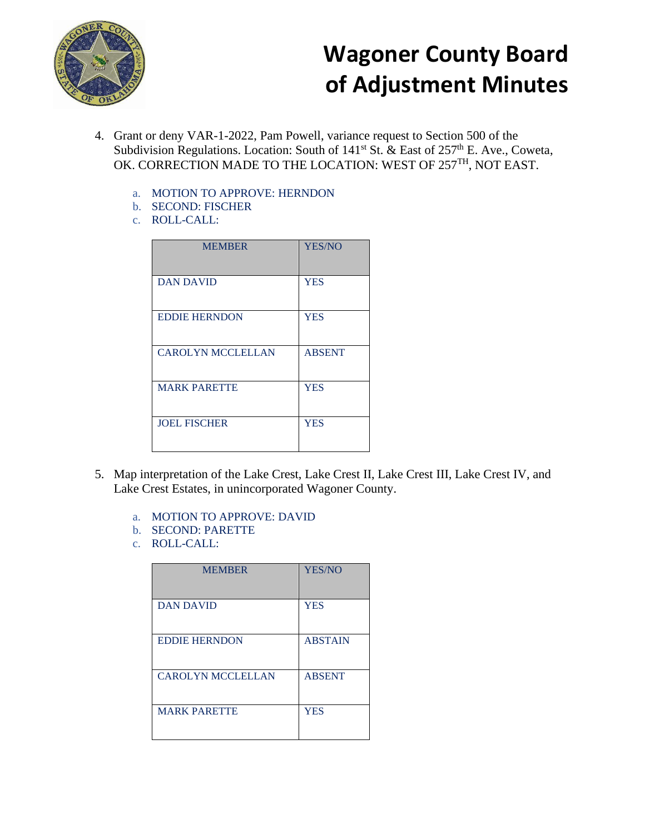

- 4. Grant or deny VAR-1-2022, Pam Powell, variance request to Section 500 of the Subdivision Regulations. Location: South of  $141<sup>st</sup>$  St. & East of  $257<sup>th</sup>$  E. Ave., Coweta, OK. CORRECTION MADE TO THE LOCATION: WEST OF 257<sup>TH</sup>, NOT EAST.
	- a. MOTION TO APPROVE: HERNDON
	- b. SECOND: FISCHER
	- c. ROLL-CALL:

| <b>MEMBER</b>            | <b>YES/NO</b> |
|--------------------------|---------------|
| <b>DAN DAVID</b>         | <b>YES</b>    |
| <b>EDDIE HERNDON</b>     | <b>YES</b>    |
| <b>CAROLYN MCCLELLAN</b> | <b>ABSENT</b> |
| <b>MARK PARETTE</b>      | <b>YES</b>    |
| <b>JOEL FISCHER</b>      | <b>YES</b>    |

- 5. Map interpretation of the Lake Crest, Lake Crest II, Lake Crest III, Lake Crest IV, and Lake Crest Estates, in unincorporated Wagoner County.
	- a. MOTION TO APPROVE: DAVID
	- b. SECOND: PARETTE
	- c. ROLL-CALL:

| <b>MEMBER</b>            | <b>YES/NO</b>  |
|--------------------------|----------------|
| <b>DAN DAVID</b>         | <b>YES</b>     |
| <b>EDDIE HERNDON</b>     | <b>ABSTAIN</b> |
| <b>CAROLYN MCCLELLAN</b> | <b>ABSENT</b>  |
| <b>MARK PARETTE</b>      | <b>YES</b>     |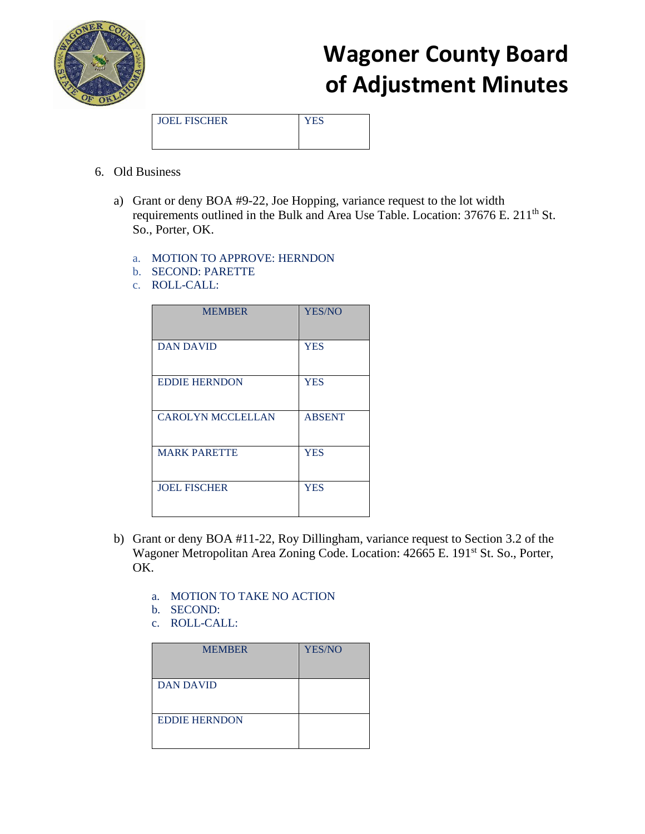

JOEL FISCHER YES

- 6. Old Business
	- a) Grant or deny BOA #9-22, Joe Hopping, variance request to the lot width requirements outlined in the Bulk and Area Use Table. Location:  $37676$  E.  $211<sup>th</sup>$  St. So., Porter, OK.
		- a. MOTION TO APPROVE: HERNDON
		- b. SECOND: PARETTE
		- c. ROLL-CALL:

| <b>MEMBER</b>            | <b>YES/NO</b> |
|--------------------------|---------------|
| <b>DAN DAVID</b>         | <b>YES</b>    |
| <b>EDDIE HERNDON</b>     | <b>YES</b>    |
| <b>CAROLYN MCCLELLAN</b> | <b>ABSENT</b> |
| <b>MARK PARETTE</b>      | <b>YES</b>    |
| <b>JOEL FISCHER</b>      | <b>YES</b>    |

- b) Grant or deny BOA #11-22, Roy Dillingham, variance request to Section 3.2 of the Wagoner Metropolitan Area Zoning Code. Location: 42665 E. 191<sup>st</sup> St. So., Porter, OK.
	- a. MOTION TO TAKE NO ACTION
	- b. SECOND:
	- c. ROLL-CALL:

| <b>MEMBER</b>        | <b>YES/NO</b> |
|----------------------|---------------|
| <b>DAN DAVID</b>     |               |
| <b>EDDIE HERNDON</b> |               |